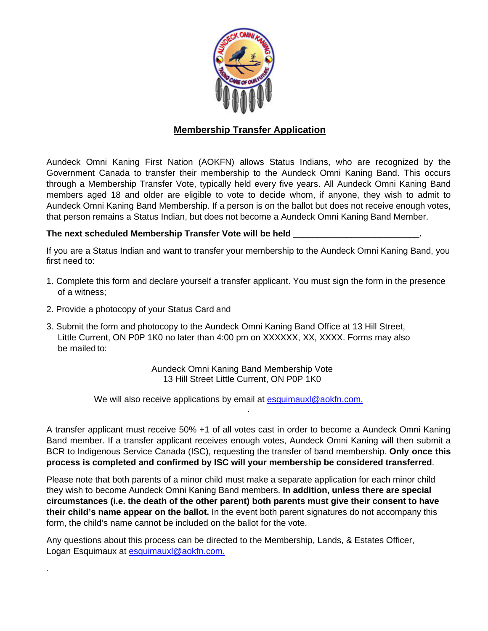

## **Membership Transfer Application**

Aundeck Omni Kaning First Nation (AOKFN) allows Status Indians, who are recognized by the Government Canada to transfer their membership to the Aundeck Omni Kaning Band. This occurs through a Membership Transfer Vote, typically held every five years. All Aundeck Omni Kaning Band members aged 18 and older are eligible to vote to decide whom, if anyone, they wish to admit to Aundeck Omni Kaning Band Membership. If a person is on the ballot but does not receive enough votes, that person remains a Status Indian, but does not become a Aundeck Omni Kaning Band Member.

## **The next scheduled Membership Transfer Vote will be held \_\_\_\_\_\_\_\_\_\_\_\_\_\_\_\_\_\_\_\_\_\_\_\_\_\_.**

If you are a Status Indian and want to transfer your membership to the Aundeck Omni Kaning Band, you first need to:

- 1. Complete this form and declare yourself a transfer applicant. You must sign the form in the presence of a witness;
- 2. Provide a photocopy of your Status Card and

.

3. Submit the form and photocopy to the Aundeck Omni Kaning Band Office at 13 Hill Street, Little Current, ON P0P 1K0 no later than 4:00 pm on XXXXXX, XX, XXXX. Forms may also be mailed to:

> Aundeck Omni Kaning Band Membership Vote 13 Hill Street Little Current, ON P0P 1K0

We will also receive applications by email at [esquimauxl@aokfn.com.](mailto:esquimauxl@aokfn.com.)

A transfer applicant must receive 50% +1 of all votes cast in order to become a Aundeck Omni Kaning Band member. If a transfer applicant receives enough votes, Aundeck Omni Kaning will then submit a BCR to Indigenous Service Canada (ISC), requesting the transfer of band membership. **Only once this process is completed and confirmed by ISC will your membership be considered transferred**.

.

Please note that both parents of a minor child must make a separate application for each minor child they wish to become Aundeck Omni Kaning Band members. **In addition, unless there are special circumstances (i.e. the death of the other parent) both parents must give their consent to have their child's name appear on the ballot.** In the event both parent signatures do not accompany this form, the child's name cannot be included on the ballot for the vote.

Any questions about this process can be directed to the Membership, Lands, & Estates Officer, Logan Esquimaux at [esquimauxl@aokfn.com.](mailto:esquimauxl@aokfn.com.)